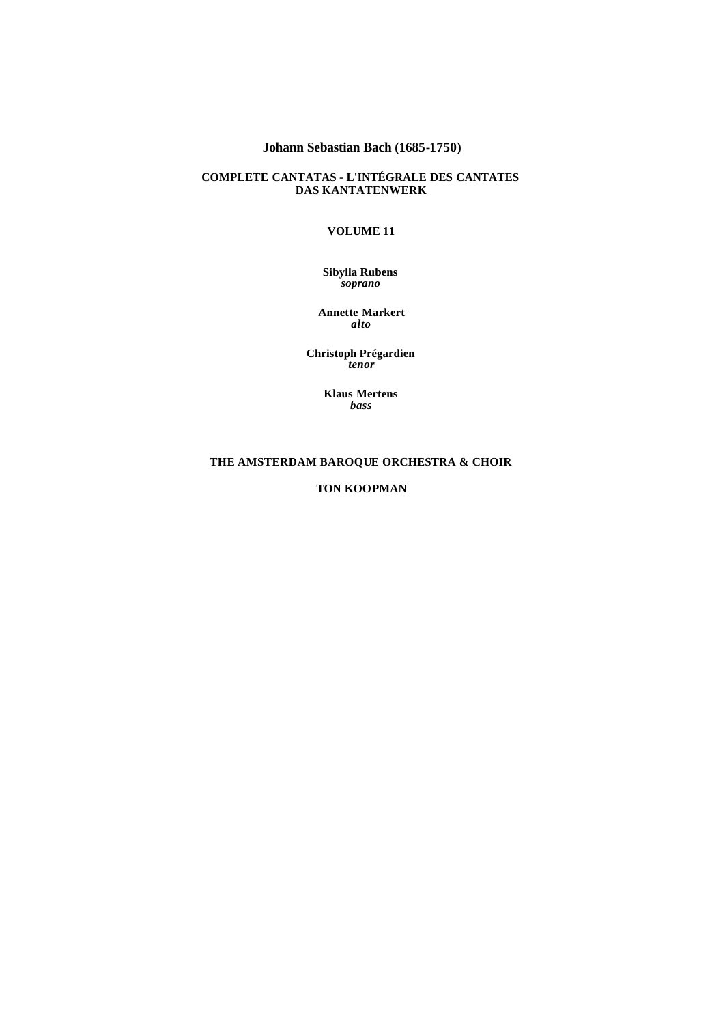# **Johann Sebastian Bach (1685-1750)**

## **COMPLETE CANTATAS - L'INTÉGRALE DES CANTATES DAS KANTATENWERK**

# **VOLUME 11**

#### **Sibylla Rubens** *soprano*

**Annette Markert** *alto*

**Christoph Prégardien** *tenor*

> **Klaus Mertens** *bass*

# **THE AMSTERDAM BAROQUE ORCHESTRA & CHOIR**

**TON KOOPMAN**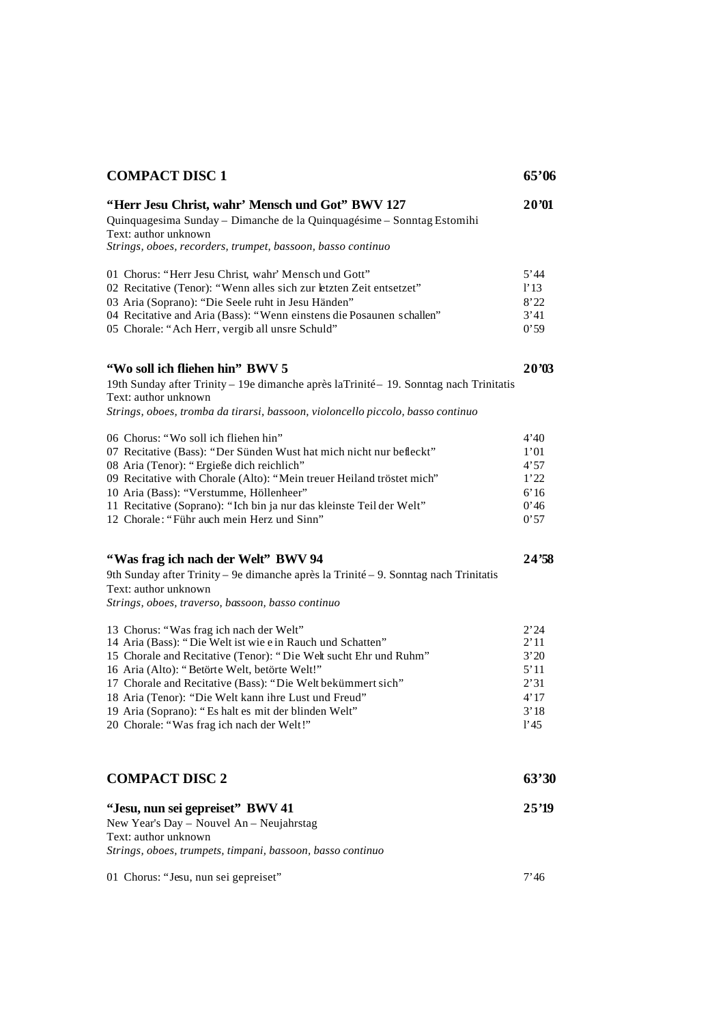| <b>COMPACT DISC 1</b>                                                                                                                                                                                                                                                                                                                                                                                                                                  | 65'06                                                        |
|--------------------------------------------------------------------------------------------------------------------------------------------------------------------------------------------------------------------------------------------------------------------------------------------------------------------------------------------------------------------------------------------------------------------------------------------------------|--------------------------------------------------------------|
| "Herr Jesu Christ, wahr' Mensch und Got" BWV 127<br>Quinquagesima Sunday - Dimanche de la Quinquagésime - Sonntag Estomihi<br>Text: author unknown<br>Strings, oboes, recorders, trumpet, bassoon, basso continuo                                                                                                                                                                                                                                      | 20'01                                                        |
| 01 Chorus: "Herr Jesu Christ, wahr' Mensch und Gott"<br>02 Recitative (Tenor): "Wenn alles sich zur letzten Zeit entsetzet"<br>03 Aria (Soprano): "Die Seele ruht in Jesu Händen"<br>04 Recitative and Aria (Bass): "Wenn einstens die Posaunen schallen"<br>05 Chorale: "Ach Herr, vergib all unsre Schuld"                                                                                                                                           | 5'44<br>1'13<br>8'22<br>3'41<br>0'59                         |
| "Wo soll ich fliehen hin" BWV 5<br>19th Sunday after Trinity - 19e dimanche après laTrinité - 19. Sonntag nach Trinitatis<br>Text: author unknown<br>Strings, oboes, tromba da tirarsi, bassoon, violoncello piccolo, basso continuo                                                                                                                                                                                                                   | 20'03                                                        |
| 06 Chorus: "Wo soll ich fliehen hin"<br>07 Recitative (Bass): "Der Sünden Wust hat mich nicht nur befleckt"<br>08 Aria (Tenor): "Ergieße dich reichlich"<br>09 Recitative with Chorale (Alto): "Mein treuer Heiland tröstet mich"<br>10 Aria (Bass): "Verstumme, Höllenheer"<br>11 Recitative (Soprano): "Ich bin ja nur das kleinste Teil der Welt"<br>12 Chorale: "Führ auch mein Herz und Sinn"                                                     | 4'40<br>1'01<br>4'57<br>1'22<br>6'16<br>0'46<br>0'57         |
| "Was frag ich nach der Welt" BWV 94<br>9th Sunday after Trinity - 9e dimanche après la Trinité - 9. Sonntag nach Trinitatis<br>Text: author unknown<br>Strings, oboes, traverso, bassoon, basso continuo                                                                                                                                                                                                                                               | 24'58                                                        |
| 13 Chorus: "Was frag ich nach der Welt"<br>14 Aria (Bass): "Die Welt ist wie e in Rauch und Schatten"<br>15 Chorale and Recitative (Tenor): "Die Welt sucht Ehr und Ruhm"<br>16 Aria (Alto): "Betörte Welt, betörte Welt!"<br>17 Chorale and Recitative (Bass): "Die Welt bekümmert sich"<br>18 Aria (Tenor): "Die Welt kann ihre Lust und Freud"<br>19 Aria (Soprano): "Es halt es mit der blinden Welt"<br>20 Chorale: "Was frag ich nach der Welt!" | 2'24<br>2'11<br>3'20<br>5'11<br>2'31<br>4'17<br>3'18<br>1'45 |
| <b>COMPACT DISC 2</b>                                                                                                                                                                                                                                                                                                                                                                                                                                  | 63'30                                                        |
| "Jesu, nun sei gepreiset" BWV 41<br>New Year's Day - Nouvel An - Neujahrstag<br>Text: author unknown<br>Strings, oboes, trumpets, timpani, bassoon, basso continuo                                                                                                                                                                                                                                                                                     | 25'19                                                        |
| 01 Chorus: "Jesu, nun sei gepreiset"                                                                                                                                                                                                                                                                                                                                                                                                                   | 7'46                                                         |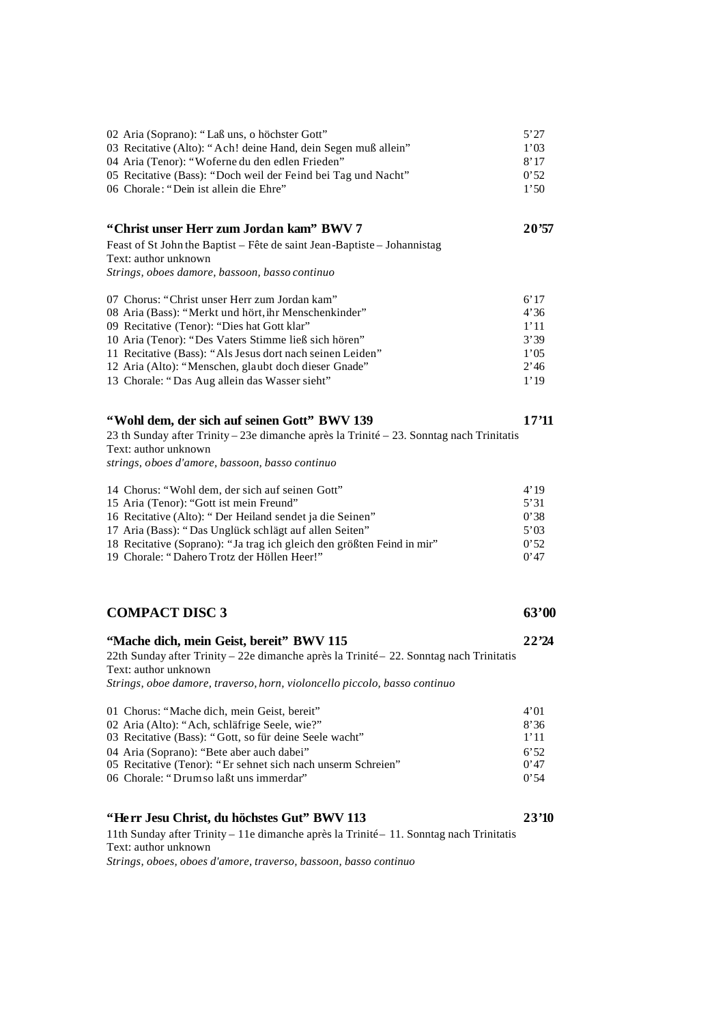| 02 Aria (Soprano): "Laß uns, o höchster Gott"<br>03 Recitative (Alto): "Ach! deine Hand, dein Segen muß allein"<br>04 Aria (Tenor): "Woferne du den edlen Frieden"<br>05 Recitative (Bass): "Doch weil der Feind bei Tag und Nacht"<br>06 Chorale: "Dein ist allein die Ehre"                                                                                                      | 5'27<br>1'03<br>8'17<br>0'52<br>1'50                 |
|------------------------------------------------------------------------------------------------------------------------------------------------------------------------------------------------------------------------------------------------------------------------------------------------------------------------------------------------------------------------------------|------------------------------------------------------|
| "Christ unser Herr zum Jordan kam" BWV 7<br>Feast of St John the Baptist - Fête de saint Jean-Baptiste - Johannistag<br>Text: author unknown<br>Strings, oboes damore, bassoon, basso continuo                                                                                                                                                                                     | 20'57                                                |
| 07 Chorus: "Christ unser Herr zum Jordan kam"<br>08 Aria (Bass): "Merkt und hört, ihr Menschenkinder"<br>09 Recitative (Tenor): "Dies hat Gott klar"<br>10 Aria (Tenor): "Des Vaters Stimme ließ sich hören"<br>11 Recitative (Bass): "Als Jesus dort nach seinen Leiden"<br>12 Aria (Alto): "Menschen, glaubt doch dieser Gnade"<br>13 Chorale: "Das Aug allein das Wasser sieht" | 6'17<br>4'36<br>1'11<br>3'39<br>1'05<br>2'46<br>1'19 |
| "Wohl dem, der sich auf seinen Gott" BWV 139<br>23 th Sunday after Trinity – 23e dimanche après la Trinité – 23. Sonntag nach Trinitatis<br>Text: author unknown<br>strings, oboes d'amore, bassoon, basso continuo                                                                                                                                                                | 17'11                                                |
| 14 Chorus: "Wohl dem, der sich auf seinen Gott"<br>15 Aria (Tenor): "Gott ist mein Freund"<br>16 Recitative (Alto): "Der Heiland sendet ja die Seinen"<br>17 Aria (Bass): "Das Unglück schlägt auf allen Seiten"<br>18 Recitative (Soprano): "Ja trag ich gleich den größten Feind in mir"<br>19 Chorale: "Dahero Trotz der Höllen Heer!"                                          | 4'19<br>5'31<br>0'38<br>5'03<br>0'52<br>0'47         |
| <b>COMPACT DISC 3</b>                                                                                                                                                                                                                                                                                                                                                              | 63'00                                                |
| "Mache dich, mein Geist, bereit" BWV 115<br>22th Sunday after Trinity - 22e dimanche après la Trinité - 22. Sonntag nach Trinitatis<br>Text: author unknown<br>Strings, oboe damore, traverso, horn, violoncello piccolo, basso continuo                                                                                                                                           | 22'24                                                |
| 01 Chorus: "Mache dich, mein Geist, bereit"<br>02 Aria (Alto): "Ach, schläfrige Seele, wie?"<br>03 Recitative (Bass): "Gott, so für deine Seele wacht"<br>04 Aria (Soprano): "Bete aber auch dabei"<br>05 Recitative (Tenor): "Er sehnet sich nach unserm Schreien"<br>06 Chorale: "Drum so laßt uns immerdar"                                                                     | 4'01<br>8'36<br>1'11<br>6'52<br>0'47<br>0'54         |
| "Herr Jesu Christ, du höchstes Gut" BWV 113                                                                                                                                                                                                                                                                                                                                        | 23'10                                                |

11th Sunday after Trinity – 11e dimanche après la Trinité – 11. Sonntag nach Trinitatis Text: author unknown

*Strings, oboes, oboes d'amore, traverso, bassoon, basso continuo*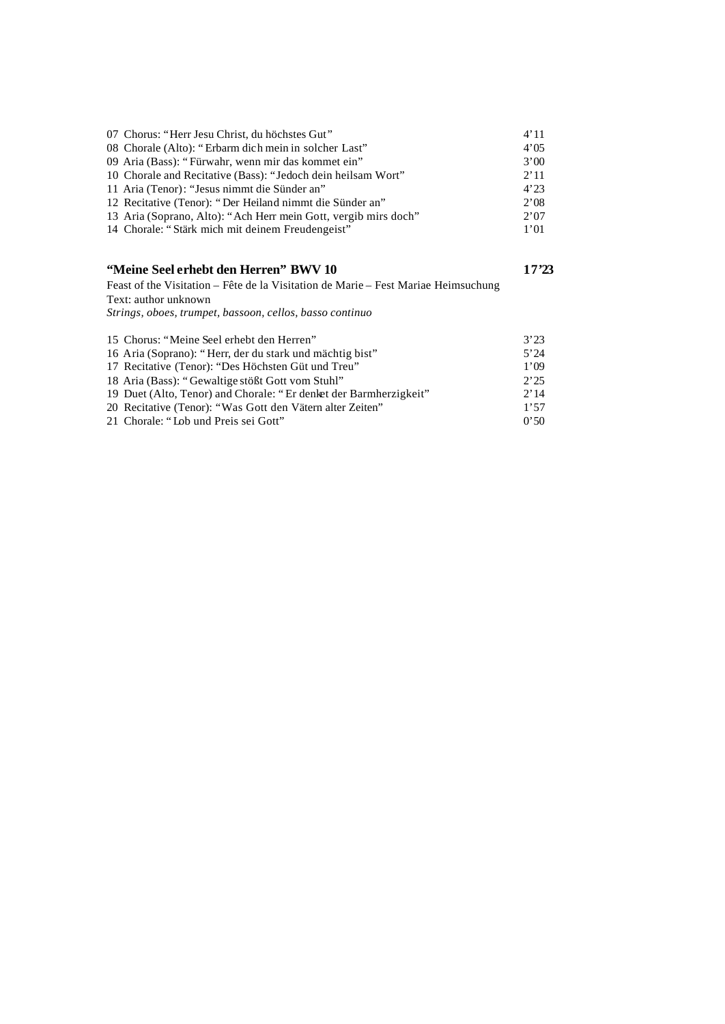| 07 Chorus: "Herr Jesu Christ, du höchstes Gut"                                     | 4'11  |
|------------------------------------------------------------------------------------|-------|
| 08 Chorale (Alto): "Erbarm dich mein in solcher Last"                              | 4'05  |
| 09 Aria (Bass): "Fürwahr, wenn mir das kommet ein"                                 | 3'00  |
| 10 Chorale and Recitative (Bass): "Jedoch dein heilsam Wort"                       | 2'11  |
| 11 Aria (Tenor): "Jesus nimmt die Sünder an"                                       | 4'23  |
| 12 Recitative (Tenor): "Der Heiland nimmt die Sünder an"                           | 2'08  |
| 13 Aria (Soprano, Alto): "Ach Herr mein Gott, vergib mirs doch"                    | 2'07  |
| 14 Chorale: "Stärk mich mit deinem Freudengeist"                                   | 1'01  |
| "Meine Seel erhebt den Herren" BWV 10                                              | 17'23 |
| Feast of the Visitation – Fête de la Visitation de Marie – Fest Mariae Heimsuchung |       |

Text: author unknown *Strings, oboes, trumpet, bassoon, cellos, basso continuo*

| 15 Chorus: "Meine Seel erhebt den Herren"                         | 3'23 |
|-------------------------------------------------------------------|------|
| 16 Aria (Soprano): "Herr, der du stark und mächtig bist"          | 5'24 |
| 17 Recitative (Tenor): "Des Höchsten Güt und Treu"                | 1'09 |
| 18 Aria (Bass): "Gewaltige stößt Gott vom Stuhl"                  | 2:25 |
| 19 Duet (Alto, Tenor) and Chorale: "Er denket der Barmherzigkeit" | 2'14 |
| 20 Recitative (Tenor): "Was Gott den Vätern alter Zeiten"         | 1'57 |
| 21 Chorale: "Lob und Preis sei Gott"                              | 0'50 |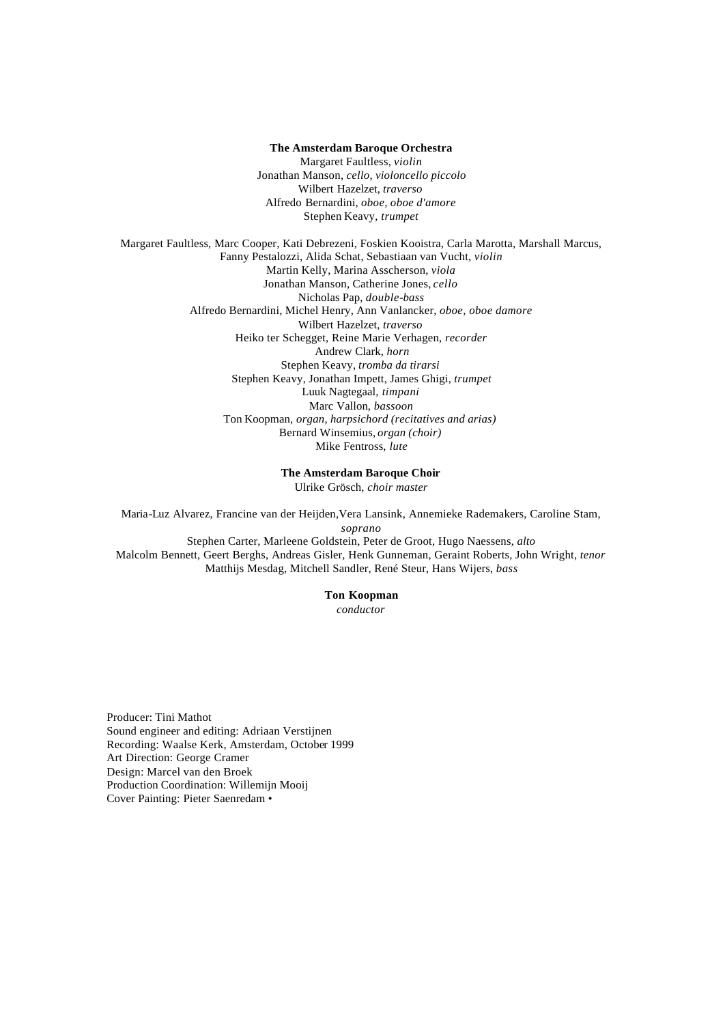#### **The Amsterdam Baroque Orchestra**

Margaret Faultless, *violin* Jonathan Manson, *cello, violoncello piccolo* Wilbert Hazelzet, *traverso* Alfredo Bernardini, *oboe, oboe d'amore* Stephen Keavy, *trumpet*

Margaret Faultless, Marc Cooper, Kati Debrezeni, Foskien Kooistra, Carla Marotta, Marshall Marcus, Fanny Pestalozzi, Alida Schat, Sebastiaan van Vucht, *violin* Martin Kelly, Marina Asscherson, *viola* Jonathan Manson, Catherine Jones, *cello* Nicholas Pap, *double-bass*  Alfredo Bernardini, Michel Henry, Ann Vanlancker, *oboe, oboe damore*  Wilbert Hazelzet, *traverso* Heiko ter Schegget, Reine Marie Verhagen, *recorder* Andrew Clark, *horn* Stephen Keavy, *tromba da tirarsi* Stephen Keavy, Jonathan Impett, James Ghigi, *trumpet* Luuk Nagtegaal, *timpani* Marc Vallon, *bassoon*  Ton Koopman, *organ, harpsichord (recitatives and arias)* Bernard Winsemius, *organ (choir)* Mike Fentross, *lute*

#### **The Amsterdam Baroque Choir**

Ulrike Grösch, *choir master*

Maria-Luz Alvarez, Francine van der Heijden,Vera Lansink, Annemieke Rademakers, Caroline Stam, *soprano* Stephen Carter, Marleene Goldstein, Peter de Groot, Hugo Naessens, *alto* Malcolm Bennett, Geert Berghs, Andreas Gisler, Henk Gunneman, Geraint Roberts, John Wright, *tenor*  Matthijs Mesdag, Mitchell Sandler, René Steur, Hans Wijers, *bass*

### **Ton Koopman**

*conductor*

Producer: Tini Mathot Sound engineer and editing: Adriaan Verstijnen Recording: Waalse Kerk, Amsterdam, October 1999 Art Direction: George Cramer Design: Marcel van den Broek Production Coordination: Willemijn Mooij Cover Painting: Pieter Saenredam •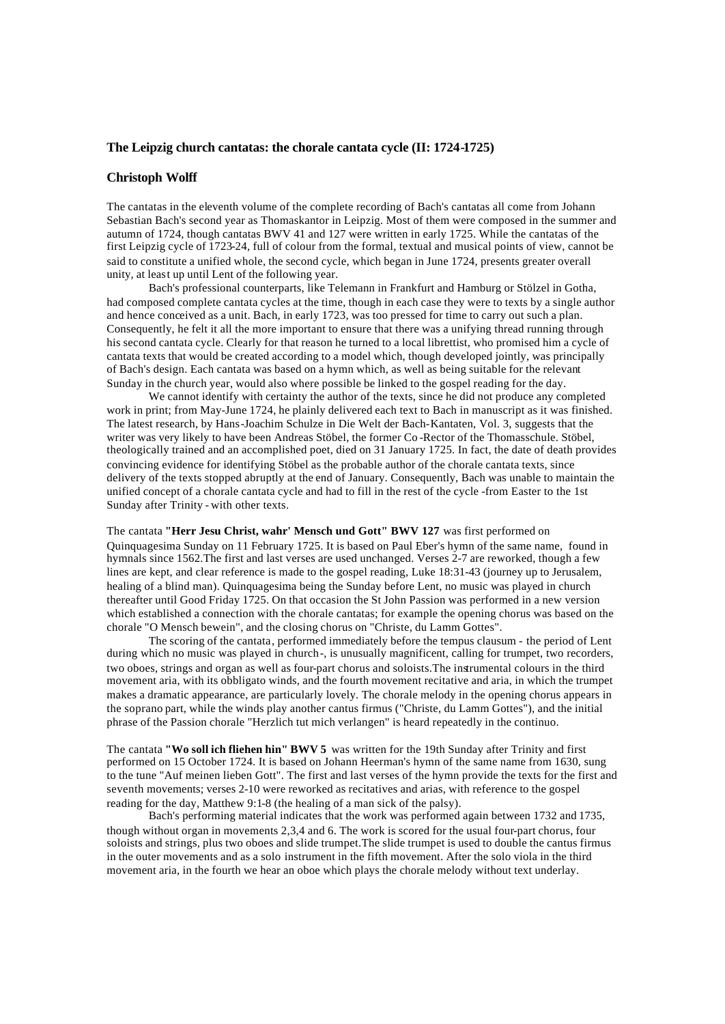#### **The Leipzig church cantatas: the chorale cantata cycle (II: 1724-1725)**

#### **Christoph Wolff**

The cantatas in the eleventh volume of the complete recording of Bach's cantatas all come from Johann Sebastian Bach's second year as Thomaskantor in Leipzig. Most of them were composed in the summer and autumn of 1724, though cantatas BWV 41 and 127 were written in early 1725. While the cantatas of the first Leipzig cycle of 1723-24, full of colour from the formal, textual and musical points of view, cannot be said to constitute a unified whole, the second cycle, which began in June 1724, presents greater overall unity, at least up until Lent of the following year.

Bach's professional counterparts, like Telemann in Frankfurt and Hamburg or Stölzel in Gotha, had composed complete cantata cycles at the time, though in each case they were to texts by a single author and hence conceived as a unit. Bach, in early 1723, was too pressed for time to carry out such a plan. Consequently, he felt it all the more important to ensure that there was a unifying thread running through his second cantata cycle. Clearly for that reason he turned to a local librettist, who promised him a cycle of cantata texts that would be created according to a model which, though developed jointly, was principally of Bach's design. Each cantata was based on a hymn which, as well as being suitable for the relevant Sunday in the church year, would also where possible be linked to the gospel reading for the day.

We cannot identify with certainty the author of the texts, since he did not produce any completed work in print; from May-June 1724, he plainly delivered each text to Bach in manuscript as it was finished. The latest research, by Hans-Joachim Schulze in Die Welt der Bach-Kantaten, Vol. 3, suggests that the writer was very likely to have been Andreas Stöbel, the former Co -Rector of the Thomasschule. Stöbel, theologically trained and an accomplished poet, died on 31 January 1725. In fact, the date of death provides convincing evidence for identifying Stöbel as the probable author of the chorale cantata texts, since delivery of the texts stopped abruptly at the end of January. Consequently, Bach was unable to maintain the unified concept of a chorale cantata cycle and had to fill in the rest of the cycle -from Easter to the 1st Sunday after Trinity - with other texts.

The cantata **"Herr Jesu Christ, wahr' Mensch und Gott" BWV 127** was first performed on Quinquagesima Sunday on 11 February 1725. It is based on Paul Eber's hymn of the same name, found in hymnals since 1562.The first and last verses are used unchanged. Verses 2-7 are reworked, though a few lines are kept, and clear reference is made to the gospel reading, Luke 18:31-43 (journey up to Jerusalem, healing of a blind man). Quinquagesima being the Sunday before Lent, no music was played in church thereafter until Good Friday 1725. On that occasion the St John Passion was performed in a new version which established a connection with the chorale cantatas; for example the opening chorus was based on the chorale "O Mensch bewein", and the closing chorus on "Christe, du Lamm Gottes".

The scoring of the cantata, performed immediately before the tempus clausum - the period of Lent during which no music was played in church -, is unusually magnificent, calling for trumpet, two recorders, two oboes, strings and organ as well as four-part chorus and soloists.The instrumental colours in the third movement aria, with its obbligato winds, and the fourth movement recitative and aria, in which the trumpet makes a dramatic appearance, are particularly lovely. The chorale melody in the opening chorus appears in the soprano part, while the winds play another cantus firmus ("Christe, du Lamm Gottes"), and the initial phrase of the Passion chorale "Herzlich tut mich verlangen" is heard repeatedly in the continuo.

The cantata **"Wo soll ich fliehen hin" BWV 5** was written for the 19th Sunday after Trinity and first performed on 15 October 1724. It is based on Johann Heerman's hymn of the same name from 1630, sung to the tune "Auf meinen lieben Gott". The first and last verses of the hymn provide the texts for the first and seventh movements; verses 2-10 were reworked as recitatives and arias, with reference to the gospel reading for the day, Matthew 9:1-8 (the healing of a man sick of the palsy).

Bach's performing material indicates that the work was performed again between 1732 and 1735, though without organ in movements 2,3,4 and 6. The work is scored for the usual four-part chorus, four soloists and strings, plus two oboes and slide trumpet.The slide trumpet is used to double the cantus firmus in the outer movements and as a solo instrument in the fifth movement. After the solo viola in the third movement aria, in the fourth we hear an oboe which plays the chorale melody without text underlay.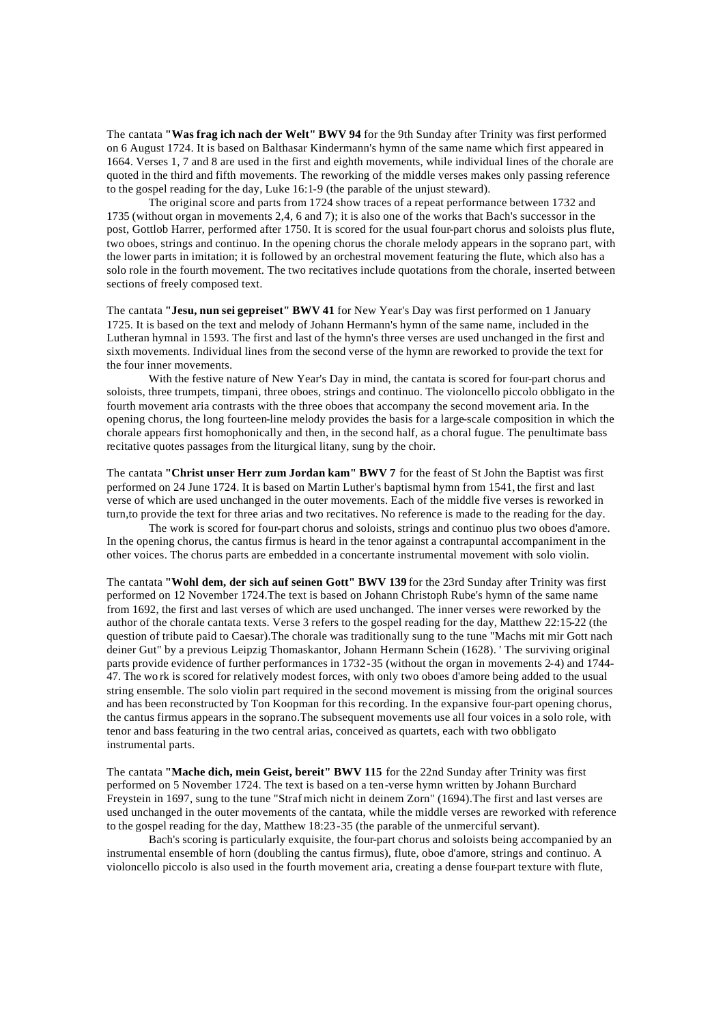The cantata **"Was frag ich nach der Welt" BWV 94** for the 9th Sunday after Trinity was first performed on 6 August 1724. It is based on Balthasar Kindermann's hymn of the same name which first appeared in 1664. Verses 1, 7 and 8 are used in the first and eighth movements, while individual lines of the chorale are quoted in the third and fifth movements. The reworking of the middle verses makes only passing reference to the gospel reading for the day, Luke 16:1-9 (the parable of the unjust steward).

The original score and parts from 1724 show traces of a repeat performance between 1732 and 1735 (without organ in movements 2,4, 6 and 7); it is also one of the works that Bach's successor in the post, Gottlob Harrer, performed after 1750. It is scored for the usual four-part chorus and soloists plus flute, two oboes, strings and continuo. In the opening chorus the chorale melody appears in the soprano part, with the lower parts in imitation; it is followed by an orchestral movement featuring the flute, which also has a solo role in the fourth movement. The two recitatives include quotations from the chorale, inserted between sections of freely composed text.

The cantata **"Jesu, nun sei gepreiset" BWV 41** for New Year's Day was first performed on 1 January 1725. It is based on the text and melody of Johann Hermann's hymn of the same name, included in the Lutheran hymnal in 1593. The first and last of the hymn's three verses are used unchanged in the first and sixth movements. Individual lines from the second verse of the hymn are reworked to provide the text for the four inner movements.

With the festive nature of New Year's Day in mind, the cantata is scored for four-part chorus and soloists, three trumpets, timpani, three oboes, strings and continuo. The violoncello piccolo obbligato in the fourth movement aria contrasts with the three oboes that accompany the second movement aria. In the opening chorus, the long fourteen-line melody provides the basis for a large-scale composition in which the chorale appears first homophonically and then, in the second half, as a choral fugue. The penultimate bass recitative quotes passages from the liturgical litany, sung by the choir.

The cantata **"Christ unser Herr zum Jordan kam" BWV 7** for the feast of St John the Baptist was first performed on 24 June 1724. It is based on Martin Luther's baptismal hymn from 1541, the first and last verse of which are used unchanged in the outer movements. Each of the middle five verses is reworked in turn,to provide the text for three arias and two recitatives. No reference is made to the reading for the day.

The work is scored for four-part chorus and soloists, strings and continuo plus two oboes d'amore. In the opening chorus, the cantus firmus is heard in the tenor against a contrapuntal accompaniment in the other voices. The chorus parts are embedded in a concertante instrumental movement with solo violin.

The cantata **"Wohl dem, der sich auf seinen Gott" BWV 139** for the 23rd Sunday after Trinity was first performed on 12 November 1724.The text is based on Johann Christoph Rube's hymn of the same name from 1692, the first and last verses of which are used unchanged. The inner verses were reworked by the author of the chorale cantata texts. Verse 3 refers to the gospel reading for the day, Matthew 22:15-22 (the question of tribute paid to Caesar).The chorale was traditionally sung to the tune "Machs mit mir Gott nach deiner Gut" by a previous Leipzig Thomaskantor, Johann Hermann Schein (1628). ' The surviving original parts provide evidence of further performances in 1732-35 (without the organ in movements 2-4) and 1744- 47. The wo rk is scored for relatively modest forces, with only two oboes d'amore being added to the usual string ensemble. The solo violin part required in the second movement is missing from the original sources and has been reconstructed by Ton Koopman for this recording. In the expansive four-part opening chorus, the cantus firmus appears in the soprano.The subsequent movements use all four voices in a solo role, with tenor and bass featuring in the two central arias, conceived as quartets, each with two obbligato instrumental parts.

The cantata **"Mache dich, mein Geist, bereit" BWV 115** for the 22nd Sunday after Trinity was first performed on 5 November 1724. The text is based on a ten-verse hymn written by Johann Burchard Freystein in 1697, sung to the tune "Straf mich nicht in deinem Zorn" (1694).The first and last verses are used unchanged in the outer movements of the cantata, while the middle verses are reworked with reference to the gospel reading for the day, Matthew 18:23-35 (the parable of the unmerciful servant).

Bach's scoring is particularly exquisite, the four-part chorus and soloists being accompanied by an instrumental ensemble of horn (doubling the cantus firmus), flute, oboe d'amore, strings and continuo. A violoncello piccolo is also used in the fourth movement aria, creating a dense four-part texture with flute,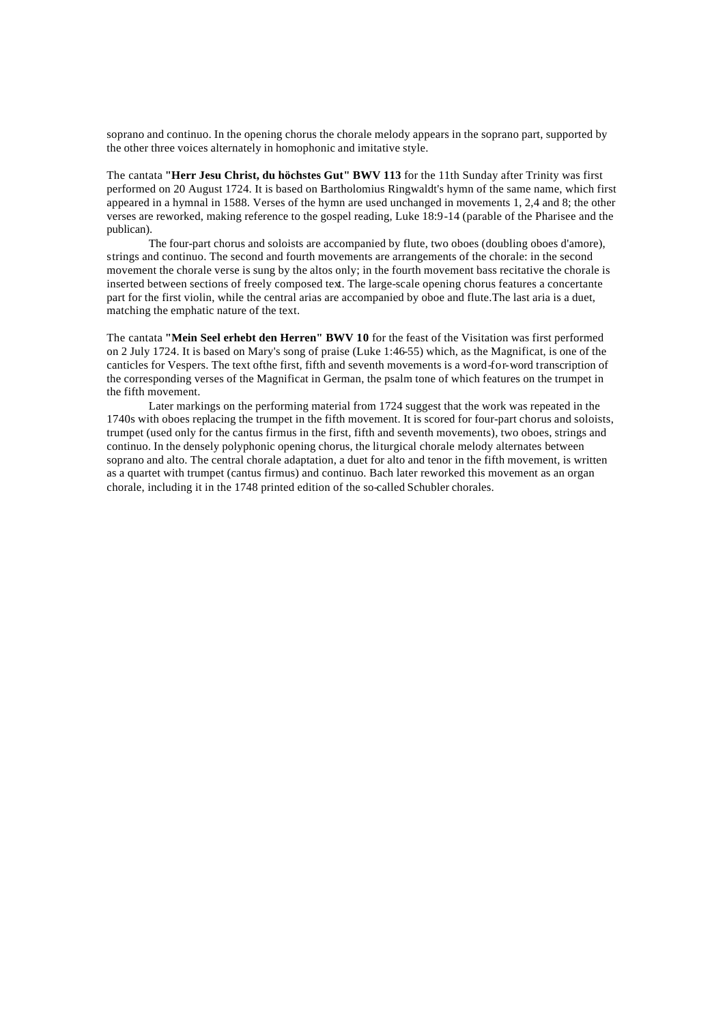soprano and continuo. In the opening chorus the chorale melody appears in the soprano part, supported by the other three voices alternately in homophonic and imitative style.

The cantata **"Herr Jesu Christ, du höchstes Gut" BWV 113** for the 11th Sunday after Trinity was first performed on 20 August 1724. It is based on Bartholomius Ringwaldt's hymn of the same name, which first appeared in a hymnal in 1588. Verses of the hymn are used unchanged in movements 1, 2,4 and 8; the other verses are reworked, making reference to the gospel reading, Luke 18:9-14 (parable of the Pharisee and the publican).

The four-part chorus and soloists are accompanied by flute, two oboes (doubling oboes d'amore), strings and continuo. The second and fourth movements are arrangements of the chorale: in the second movement the chorale verse is sung by the altos only; in the fourth movement bass recitative the chorale is inserted between sections of freely composed text. The large-scale opening chorus features a concertante part for the first violin, while the central arias are accompanied by oboe and flute.The last aria is a duet, matching the emphatic nature of the text.

The cantata **"Mein Seel erhebt den Herren" BWV 10** for the feast of the Visitation was first performed on 2 July 1724. It is based on Mary's song of praise (Luke 1:46-55) which, as the Magnificat, is one of the canticles for Vespers. The text ofthe first, fifth and seventh movements is a word-for-word transcription of the corresponding verses of the Magnificat in German, the psalm tone of which features on the trumpet in the fifth movement.

Later markings on the performing material from 1724 suggest that the work was repeated in the 1740s with oboes replacing the trumpet in the fifth movement. It is scored for four-part chorus and soloists, trumpet (used only for the cantus firmus in the first, fifth and seventh movements), two oboes, strings and continuo. In the densely polyphonic opening chorus, the liturgical chorale melody alternates between soprano and alto. The central chorale adaptation, a duet for alto and tenor in the fifth movement, is written as a quartet with trumpet (cantus firmus) and continuo. Bach later reworked this movement as an organ chorale, including it in the 1748 printed edition of the so-called Schubler chorales.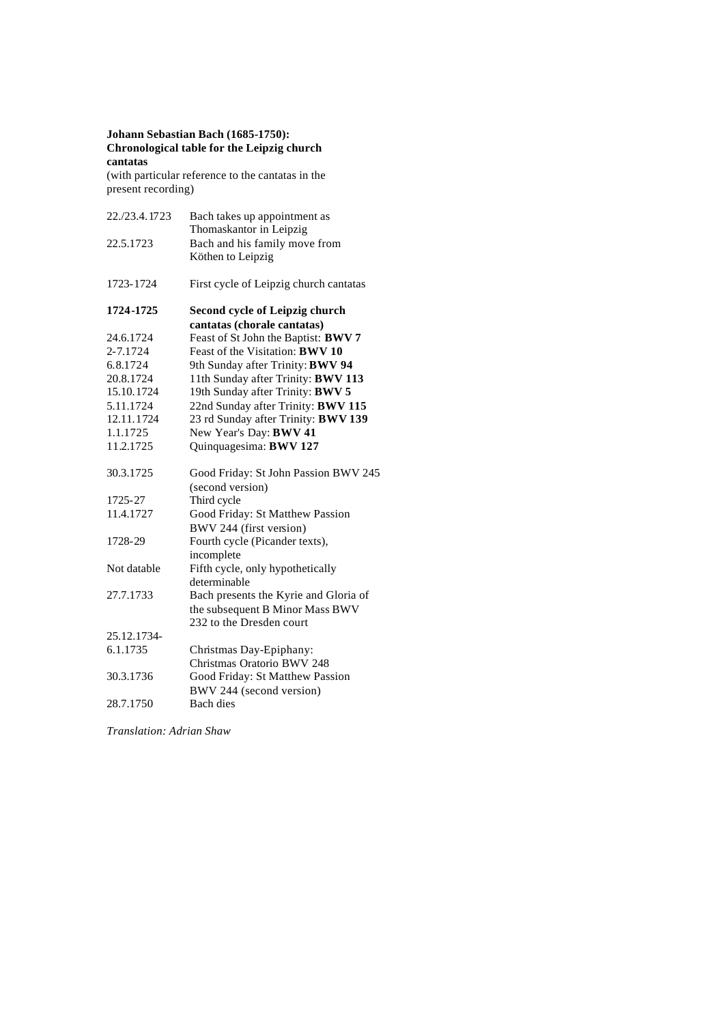# **Johann Sebastian Bach (1685-1750): Chronological table for the Leipzig church cantatas**

(with particular reference to the cantatas in the present recording)

| 22./23.4.1723 | Bach takes up appointment as<br>Thomaskantor in Leipzig |
|---------------|---------------------------------------------------------|
| 22.5.1723     | Bach and his family move from<br>Köthen to Leipzig      |
| 1723-1724     | First cycle of Leipzig church cantatas                  |
| 1724-1725     | Second cycle of Leipzig church                          |
|               | cantatas (chorale cantatas)                             |
| 24.6.1724     | Feast of St John the Baptist: BWV 7                     |
| 2-7.1724      | Feast of the Visitation: <b>BWV 10</b>                  |
| 6.8.1724      | 9th Sunday after Trinity: BWV 94                        |
| 20.8.1724     | 11th Sunday after Trinity: BWV 113                      |
| 15.10.1724    | 19th Sunday after Trinity: BWV 5                        |
| 5.11.1724     | 22nd Sunday after Trinity: BWV 115                      |
| 12.11.1724    | 23 rd Sunday after Trinity: BWV 139                     |
| 1.1.1725      | New Year's Day: BWV 41                                  |
| 11.2.1725     | Quinquagesima: BWV 127                                  |
| 30.3.1725     | Good Friday: St John Passion BWV 245                    |
|               | (second version)                                        |
| 1725-27       | Third cycle                                             |
| 11.4.1727     | Good Friday: St Matthew Passion                         |
|               | BWV 244 (first version)                                 |
| 1728-29       | Fourth cycle (Picander texts),                          |
|               | incomplete                                              |
| Not datable   | Fifth cycle, only hypothetically                        |
|               | determinable                                            |
| 27.7.1733     | Bach presents the Kyrie and Gloria of                   |
|               | the subsequent B Minor Mass BWV                         |
|               | 232 to the Dresden court                                |
| 25.12.1734-   |                                                         |
| 6.1.1735      | Christmas Day-Epiphany:                                 |
|               | Christmas Oratorio BWV 248                              |
| 30.3.1736     | Good Friday: St Matthew Passion                         |
|               | BWV 244 (second version)                                |
| 28.7.1750     | <b>Bach</b> dies                                        |

*Translation: Adrian Shaw*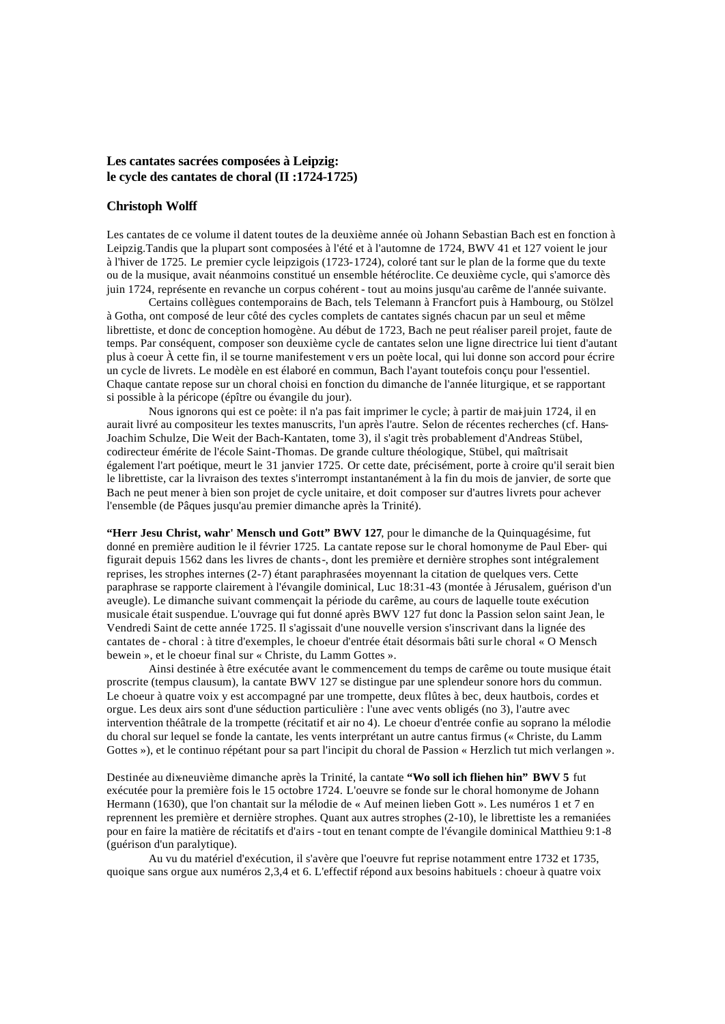# **Les cantates sacrées composées à Leipzig: le cycle des cantates de choral (II :1724-1725)**

# **Christoph Wolff**

Les cantates de ce volume il datent toutes de la deuxième année où Johann Sebastian Bach est en fonction à Leipzig.Tandis que la plupart sont composées à l'été et à l'automne de 1724, BWV 41 et 127 voient le jour à l'hiver de 1725. Le premier cycle leipzigois (1723-1724), coloré tant sur le plan de la forme que du texte ou de la musique, avait néanmoins constitué un ensemble hétéroclite. Ce deuxième cycle, qui s'amorce dès juin 1724, représente en revanche un corpus cohérent - tout au moins jusqu'au carême de l'année suivante.

Certains collègues contemporains de Bach, tels Telemann à Francfort puis à Hambourg, ou Stölzel à Gotha, ont composé de leur côté des cycles complets de cantates signés chacun par un seul et même librettiste, et donc de conception homogène. Au début de 1723, Bach ne peut réaliser pareil projet, faute de temps. Par conséquent, composer son deuxième cycle de cantates selon une ligne directrice lui tient d'autant plus à coeur À cette fin, il se tourne manifestement v ers un poète local, qui lui donne son accord pour écrire un cycle de livrets. Le modèle en est élaboré en commun, Bach l'ayant toutefois conçu pour l'essentiel. Chaque cantate repose sur un choral choisi en fonction du dimanche de l'année liturgique, et se rapportant si possible à la péricope (épître ou évangile du jour).

Nous ignorons qui est ce poète: il n'a pas fait imprimer le cycle; à partir de mai-juin 1724, il en aurait livré au compositeur les textes manuscrits, l'un après l'autre. Selon de récentes recherches (cf. Hans-Joachim Schulze, Die Weit der Bach-Kantaten, tome 3), il s'agit très probablement d'Andreas Stübel, codirecteur émérite de l'école Saint-Thomas. De grande culture théologique, Stübel, qui maîtrisait également l'art poétique, meurt le 31 janvier 1725. Or cette date, précisément, porte à croire qu'il serait bien le librettiste, car la livraison des textes s'interrompt instantanément à la fin du mois de janvier, de sorte que Bach ne peut mener à bien son projet de cycle unitaire, et doit composer sur d'autres livrets pour achever l'ensemble (de Pâques jusqu'au premier dimanche après la Trinité).

**"Herr Jesu Christ, wahr' Mensch und Gott" BWV 127**, pour le dimanche de la Quinquagésime, fut donné en première audition le il février 1725. La cantate repose sur le choral homonyme de Paul Eber- qui figurait depuis 1562 dans les livres de chants -, dont les première et dernière strophes sont intégralement reprises, les strophes internes (2-7) étant paraphrasées moyennant la citation de quelques vers. Cette paraphrase se rapporte clairement à l'évangile dominical, Luc 18:31-43 (montée à Jérusalem, guérison d'un aveugle). Le dimanche suivant commençait la période du carême, au cours de laquelle toute exécution musicale était suspendue. L'ouvrage qui fut donné après BWV 127 fut donc la Passion selon saint Jean, le Vendredi Saint de cette année 1725. Il s'agissait d'une nouvelle version s'inscrivant dans la lignée des cantates de - choral : à titre d'exemples, le choeur d'entrée était désormais bâti sur le choral « O Mensch bewein », et le choeur final sur « Christe, du Lamm Gottes ».

Ainsi destinée à être exécutée avant le commencement du temps de carême ou toute musique était proscrite (tempus clausum), la cantate BWV 127 se distingue par une splendeur sonore hors du commun. Le choeur à quatre voix y est accompagné par une trompette, deux flûtes à bec, deux hautbois, cordes et orgue. Les deux airs sont d'une séduction particulière : l'une avec vents obligés (no 3), l'autre avec intervention théâtrale de la trompette (récitatif et air no 4). Le choeur d'entrée confie au soprano la mélodie du choral sur lequel se fonde la cantate, les vents interprétant un autre cantus firmus (« Christe, du Lamm Gottes »), et le continuo répétant pour sa part l'incipit du choral de Passion « Herzlich tut mich verlangen ».

Destinée au dix-neuvième dimanche après la Trinité, la cantate **"Wo soll ich fliehen hin" BWV 5** fut exécutée pour la première fois le 15 octobre 1724. L'oeuvre se fonde sur le choral homonyme de Johann Hermann (1630), que l'on chantait sur la mélodie de « Auf meinen lieben Gott ». Les numéros 1 et 7 en reprennent les première et dernière strophes. Quant aux autres strophes (2-10), le librettiste les a remaniées pour en faire la matière de récitatifs et d'airs - tout en tenant compte de l'évangile dominical Matthieu 9:1-8 (guérison d'un paralytique).

Au vu du matériel d'exécution, il s'avère que l'oeuvre fut reprise notamment entre 1732 et 1735, quoique sans orgue aux numéros 2,3,4 et 6. L'effectif répond aux besoins habituels : choeur à quatre voix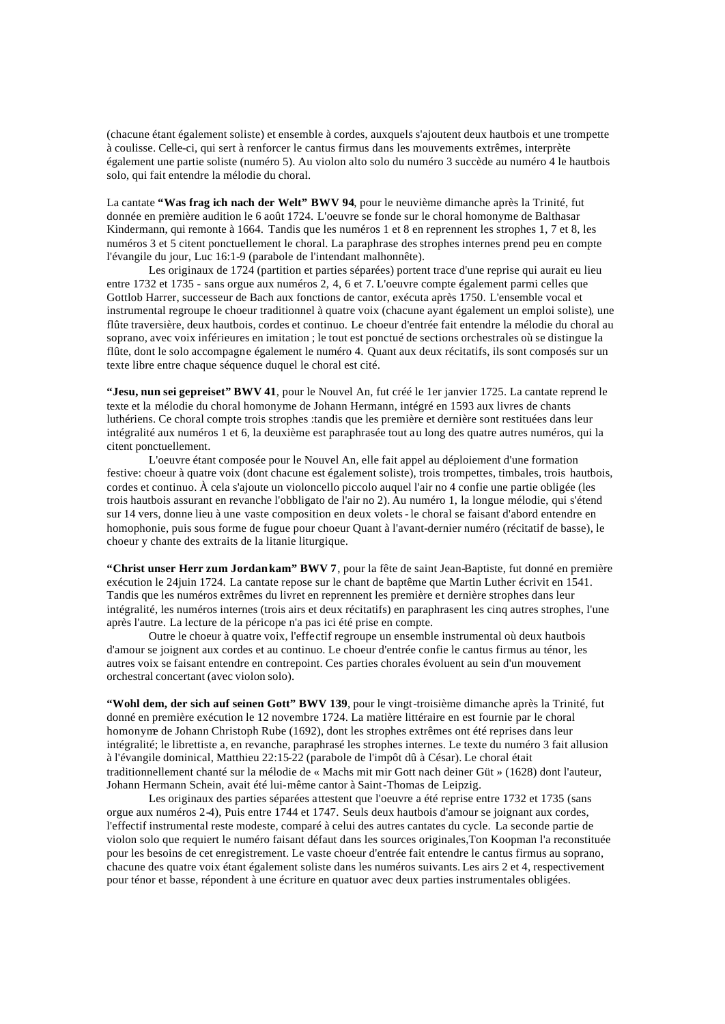(chacune étant également soliste) et ensemble à cordes, auxquels s'ajoutent deux hautbois et une trompette à coulisse. Celle-ci, qui sert à renforcer le cantus firmus dans les mouvements extrêmes, interprète également une partie soliste (numéro 5). Au violon alto solo du numéro 3 succède au numéro 4 le hautbois solo, qui fait entendre la mélodie du choral.

La cantate **"Was frag ich nach der Welt" BWV 94**, pour le neuvième dimanche après la Trinité, fut donnée en première audition le 6 août 1724. L'oeuvre se fonde sur le choral homonyme de Balthasar Kindermann, qui remonte à 1664. Tandis que les numéros 1 et 8 en reprennent les strophes 1, 7 et 8, les numéros 3 et 5 citent ponctuellement le choral. La paraphrase des strophes internes prend peu en compte l'évangile du jour, Luc 16:1-9 (parabole de l'intendant malhonnête).

Les originaux de 1724 (partition et parties séparées) portent trace d'une reprise qui aurait eu lieu entre 1732 et 1735 - sans orgue aux numéros 2, 4, 6 et 7. L'oeuvre compte également parmi celles que Gottlob Harrer, successeur de Bach aux fonctions de cantor, exécuta après 1750. L'ensemble vocal et instrumental regroupe le choeur traditionnel à quatre voix (chacune ayant également un emploi soliste), une flûte traversière, deux hautbois, cordes et continuo. Le choeur d'entrée fait entendre la mélodie du choral au soprano, avec voix inférieures en imitation ; le tout est ponctué de sections orchestrales où se distingue la flûte, dont le solo accompagne également le numéro 4. Quant aux deux récitatifs, ils sont composés sur un texte libre entre chaque séquence duquel le choral est cité.

**"Jesu, nun sei gepreiset" BWV 41**, pour le Nouvel An, fut créé le 1er janvier 1725. La cantate reprend le texte et la mélodie du choral homonyme de Johann Hermann, intégré en 1593 aux livres de chants luthériens. Ce choral compte trois strophes :tandis que les première et dernière sont restituées dans leur intégralité aux numéros 1 et 6, la deuxième est paraphrasée tout au long des quatre autres numéros, qui la citent ponctuellement.

L'oeuvre étant composée pour le Nouvel An, elle fait appel au déploiement d'une formation festive: choeur à quatre voix (dont chacune est également soliste), trois trompettes, timbales, trois hautbois, cordes et continuo. À cela s'ajoute un violoncello piccolo auquel l'air no 4 confie une partie obligée (les trois hautbois assurant en revanche l'obbligato de l'air no 2). Au numéro 1, la longue mélodie, qui s'étend sur 14 vers, donne lieu à une vaste composition en deux volets - le choral se faisant d'abord entendre en homophonie, puis sous forme de fugue pour choeur Quant à l'avant-dernier numéro (récitatif de basse), le choeur y chante des extraits de la litanie liturgique.

**"Christ unser Herr zum Jordan kam" BWV 7**, pour la fête de saint Jean-Baptiste, fut donné en première exécution le 24juin 1724. La cantate repose sur le chant de baptême que Martin Luther écrivit en 1541. Tandis que les numéros extrêmes du livret en reprennent les première et dernière strophes dans leur intégralité, les numéros internes (trois airs et deux récitatifs) en paraphrasent les cinq autres strophes, l'une après l'autre. La lecture de la péricope n'a pas ici été prise en compte.

Outre le choeur à quatre voix, l'effectif regroupe un ensemble instrumental où deux hautbois d'amour se joignent aux cordes et au continuo. Le choeur d'entrée confie le cantus firmus au ténor, les autres voix se faisant entendre en contrepoint. Ces parties chorales évoluent au sein d'un mouvement orchestral concertant (avec violon solo).

**"Wohl dem, der sich auf seinen Gott" BWV 139**, pour le vingt-troisième dimanche après la Trinité, fut donné en première exécution le 12 novembre 1724. La matière littéraire en est fournie par le choral homonyme de Johann Christoph Rube (1692), dont les strophes extrêmes ont été reprises dans leur intégralité; le librettiste a, en revanche, paraphrasé les strophes internes. Le texte du numéro 3 fait allusion à l'évangile dominical, Matthieu 22:15-22 (parabole de l'impôt dû à César). Le choral était traditionnellement chanté sur la mélodie de « Machs mit mir Gott nach deiner Güt » (1628) dont l'auteur, Johann Hermann Schein, avait été lui-même cantor à Saint-Thomas de Leipzig.

Les originaux des parties séparées attestent que l'oeuvre a été reprise entre 1732 et 1735 (sans orgue aux numéros 2-4), Puis entre 1744 et 1747. Seuls deux hautbois d'amour se joignant aux cordes, l'effectif instrumental reste modeste, comparé à celui des autres cantates du cycle. La seconde partie de violon solo que requiert le numéro faisant défaut dans les sources originales,Ton Koopman l'a reconstituée pour les besoins de cet enregistrement. Le vaste choeur d'entrée fait entendre le cantus firmus au soprano, chacune des quatre voix étant également soliste dans les numéros suivants. Les airs 2 et 4, respectivement pour ténor et basse, répondent à une écriture en quatuor avec deux parties instrumentales obligées.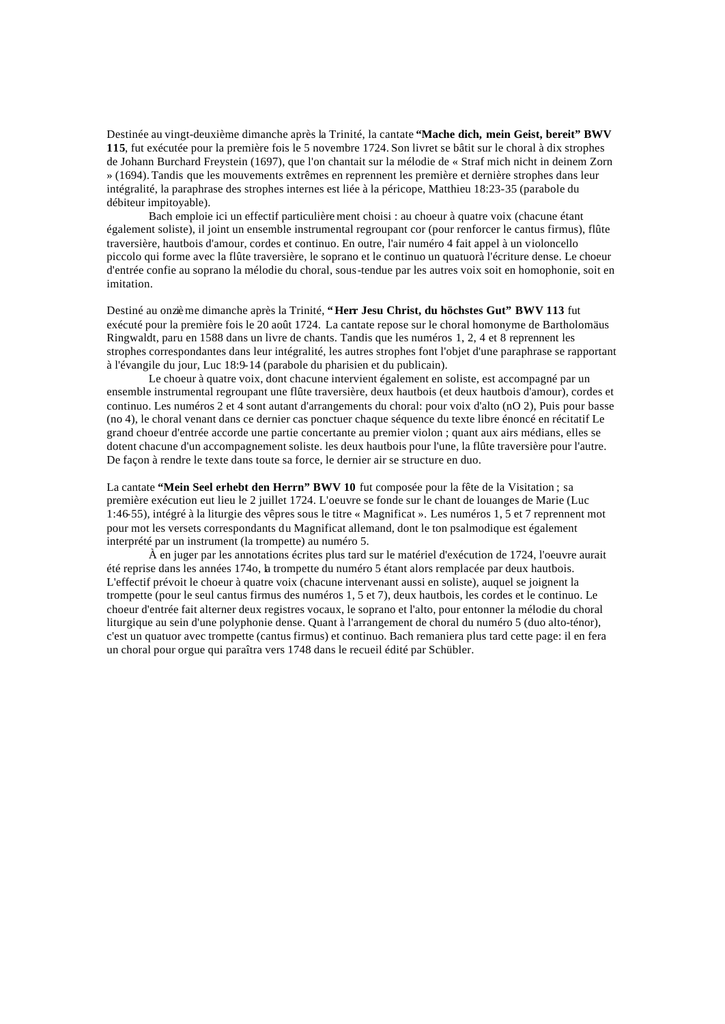Destinée au vingt-deuxième dimanche après la Trinité, la cantate **"Mache dich, mein Geist, bereit" BWV 115**, fut exécutée pour la première fois le 5 novembre 1724. Son livret se bâtit sur le choral à dix strophes de Johann Burchard Freystein (1697), que l'on chantait sur la mélodie de « Straf mich nicht in deinem Zorn » (1694). Tandis que les mouvements extrêmes en reprennent les première et dernière strophes dans leur intégralité, la paraphrase des strophes internes est liée à la péricope, Matthieu 18:23-35 (parabole du débiteur impitoyable).

Bach emploie ici un effectif particulière ment choisi : au choeur à quatre voix (chacune étant également soliste), il joint un ensemble instrumental regroupant cor (pour renforcer le cantus firmus), flûte traversière, hautbois d'amour, cordes et continuo. En outre, l'air numéro 4 fait appel à un violoncello piccolo qui forme avec la flûte traversière, le soprano et le continuo un quatuorà l'écriture dense. Le choeur d'entrée confie au soprano la mélodie du choral, sous-tendue par les autres voix soit en homophonie, soit en imitation.

Destiné au onzième dimanche après la Trinité, **"Herr Jesu Christ, du höchstes Gut" BWV 113** fut exécuté pour la première fois le 20 août 1724. La cantate repose sur le choral homonyme de Bartholomäus Ringwaldt, paru en 1588 dans un livre de chants. Tandis que les numéros 1, 2, 4 et 8 reprennent les strophes correspondantes dans leur intégralité, les autres strophes font l'objet d'une paraphrase se rapportant à l'évangile du jour, Luc 18:9-14 (parabole du pharisien et du publicain).

Le choeur à quatre voix, dont chacune intervient également en soliste, est accompagné par un ensemble instrumental regroupant une flûte traversière, deux hautbois (et deux hautbois d'amour), cordes et continuo. Les numéros 2 et 4 sont autant d'arrangements du choral: pour voix d'alto (nO 2), Puis pour basse (no 4), le choral venant dans ce dernier cas ponctuer chaque séquence du texte libre énoncé en récitatif Le grand choeur d'entrée accorde une partie concertante au premier violon ; quant aux airs médians, elles se dotent chacune d'un accompagnement soliste. les deux hautbois pour l'une, la flûte traversière pour l'autre. De façon à rendre le texte dans toute sa force, le dernier air se structure en duo.

La cantate **"Mein Seel erhebt den Herrn" BWV 10** fut composée pour la fête de la Visitation ; sa première exécution eut lieu le 2 juillet 1724. L'oeuvre se fonde sur le chant de louanges de Marie (Luc 1:46-55), intégré à la liturgie des vêpres sous le titre « Magnificat ». Les numéros 1, 5 et 7 reprennent mot pour mot les versets correspondants du Magnificat allemand, dont le ton psalmodique est également interprété par un instrument (la trompette) au numéro 5.

À en juger par les annotations écrites plus tard sur le matériel d'exécution de 1724, l'oeuvre aurait été reprise dans les années 174o, la trompette du numéro 5 étant alors remplacée par deux hautbois. L'effectif prévoit le choeur à quatre voix (chacune intervenant aussi en soliste), auquel se joignent la trompette (pour le seul cantus firmus des numéros 1, 5 et 7), deux hautbois, les cordes et le continuo. Le choeur d'entrée fait alterner deux registres vocaux, le soprano et l'alto, pour entonner la mélodie du choral liturgique au sein d'une polyphonie dense. Quant à l'arrangement de choral du numéro 5 (duo alto-ténor), c'est un quatuor avec trompette (cantus firmus) et continuo. Bach remaniera plus tard cette page: il en fera un choral pour orgue qui paraîtra vers 1748 dans le recueil édité par Schübler.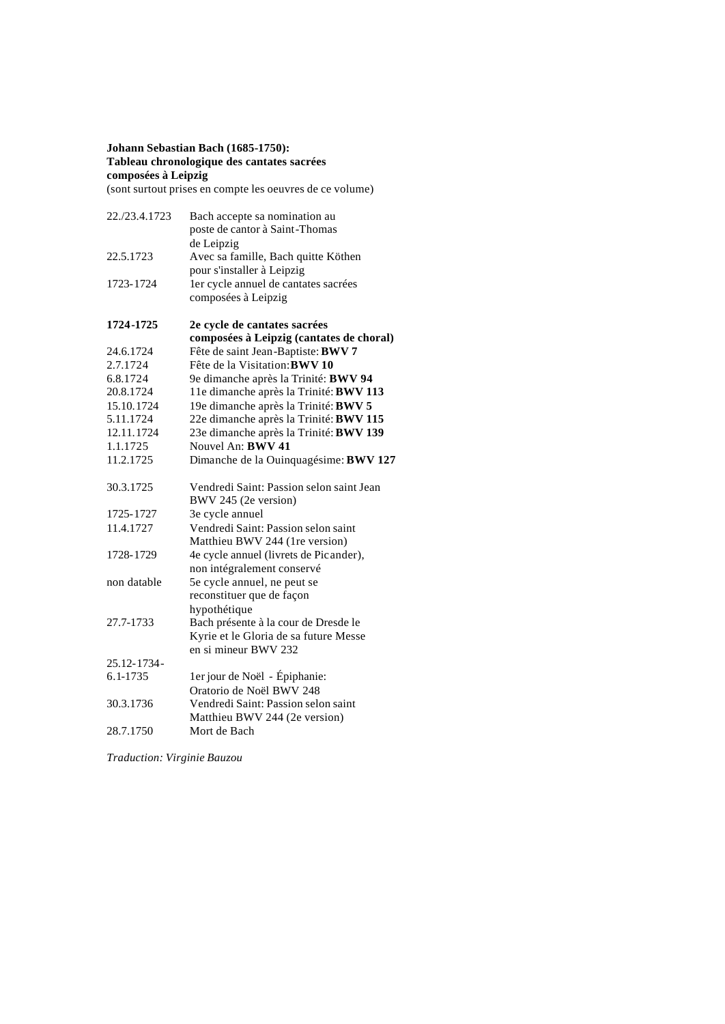# **Johann Sebastian Bach (1685-1750): Tableau chronologique des cantates sacrées composées à Leipzig**

(sont surtout prises en compte les oeuvres de ce volume)

| 22./23.4.1723 | Bach accepte sa nomination au<br>poste de cantor à Saint-Thomas  |
|---------------|------------------------------------------------------------------|
|               | de Leipzig                                                       |
| 22.5.1723     | Avec sa famille, Bach quitte Köthen                              |
|               | pour s'installer à Leipzig                                       |
| 1723-1724     | ler cycle annuel de cantates sacrées                             |
|               | composées à Leipzig                                              |
| 1724-1725     | 2e cycle de cantates sacrées                                     |
|               | composées à Leipzig (cantates de choral)                         |
| 24.6.1724     | Fête de saint Jean-Baptiste: BWV 7                               |
| 2.7.1724      | Fête de la Visitation: BWV 10                                    |
| 6.8.1724      | 9e dimanche après la Trinité: BWV 94                             |
| 20.8.1724     | 11e dimanche après la Trinité: BWV 113                           |
| 15.10.1724    | 19e dimanche après la Trinité: BWV 5                             |
| 5.11.1724     | 22e dimanche après la Trinité: BWV 115                           |
| 12.11.1724    | 23e dimanche après la Trinité: BWV 139                           |
| 1.1.1725      | Nouvel An: <b>BWV 41</b>                                         |
| 11.2.1725     | Dimanche de la Ouinquagésime: BWV 127                            |
| 30.3.1725     | Vendredi Saint: Passion selon saint Jean<br>BWV 245 (2e version) |
| 1725-1727     | 3e cycle annuel                                                  |
| 11.4.1727     | Vendredi Saint: Passion selon saint                              |
|               | Matthieu BWV 244 (1re version)                                   |
| 1728-1729     | 4e cycle annuel (livrets de Picander),                           |
|               | non intégralement conservé                                       |
| non datable   | 5e cycle annuel, ne peut se                                      |
|               | reconstituer que de façon                                        |
|               | hypothétique                                                     |
| 27.7-1733     | Bach présente à la cour de Dresde le                             |
|               | Kyrie et le Gloria de sa future Messe                            |
|               | en si mineur BWV 232                                             |
| 25.12-1734-   |                                                                  |
| 6.1-1735      | 1er jour de Noël - Épiphanie:                                    |
|               | Oratorio de Noël BWV 248                                         |
| 30.3.1736     | Vendredi Saint: Passion selon saint                              |
|               | Matthieu BWV 244 (2e version)                                    |
| 28.7.1750     | Mort de Bach                                                     |
|               |                                                                  |

*Traduction: Virginie Bauzou*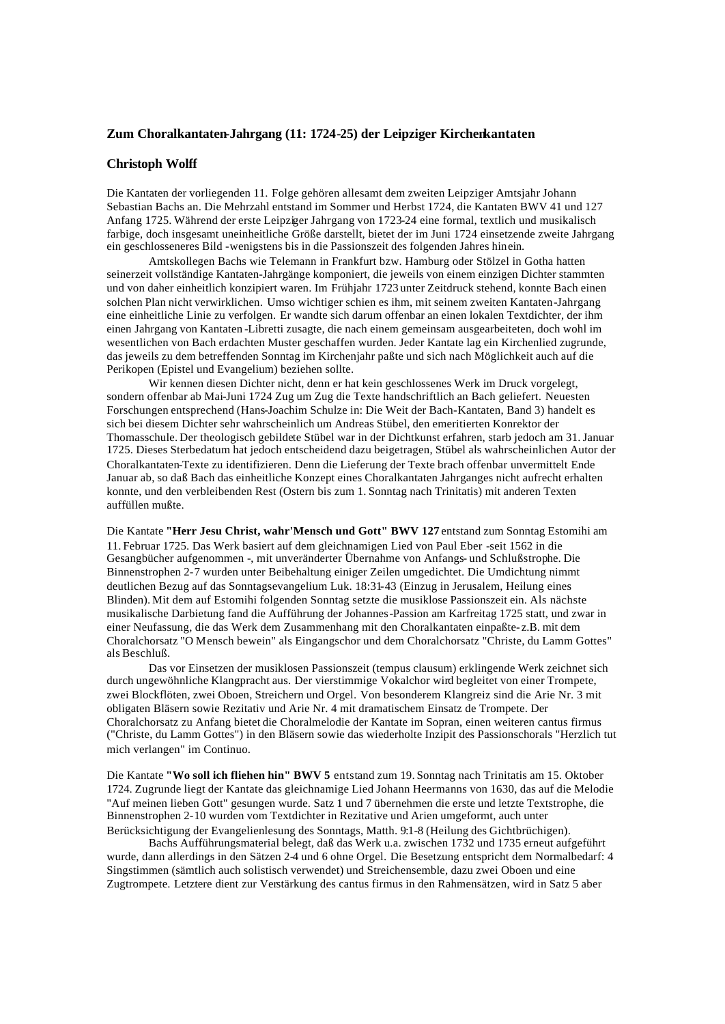### **Zum Choralkantaten-Jahrgang (11: 1724-25) der Leipziger Kirchenkantaten**

### **Christoph Wolff**

Die Kantaten der vorliegenden 11. Folge gehören allesamt dem zweiten Leipziger Amtsjahr Johann Sebastian Bachs an. Die Mehrzahl entstand im Sommer und Herbst 1724, die Kantaten BWV 41 und 127 Anfang 1725. Während der erste Leipziger Jahrgang von 1723-24 eine formal, textlich und musikalisch farbige, doch insgesamt uneinheitliche Größe darstellt, bietet der im Juni 1724 einsetzende zweite Jahrgang ein geschlosseneres Bild -wenigstens bis in die Passionszeit des folgenden Jahres hinein.

Amtskollegen Bachs wie Telemann in Frankfurt bzw. Hamburg oder Stölzel in Gotha hatten seinerzeit vollständige Kantaten-Jahrgänge komponiert, die jeweils von einem einzigen Dichter stammten und von daher einheitlich konzipiert waren. Im Frühjahr 1723 unter Zeitdruck stehend, konnte Bach einen solchen Plan nicht verwirklichen. Umso wichtiger schien es ihm, mit seinem zweiten Kantaten-Jahrgang eine einheitliche Linie zu verfolgen. Er wandte sich darum offenbar an einen lokalen Textdichter, der ihm einen Jahrgang von Kantaten -Libretti zusagte, die nach einem gemeinsam ausgearbeiteten, doch wohl im wesentlichen von Bach erdachten Muster geschaffen wurden. Jeder Kantate lag ein Kirchenlied zugrunde, das jeweils zu dem betreffenden Sonntag im Kirchenjahr paßte und sich nach Möglichkeit auch auf die Perikopen (Epistel und Evangelium) beziehen sollte.

Wir kennen diesen Dichter nicht, denn er hat kein geschlossenes Werk im Druck vorgelegt, sondern offenbar ab Mai-Juni 1724 Zug um Zug die Texte handschriftlich an Bach geliefert. Neuesten Forschungen entsprechend (Hans-Joachim Schulze in: Die Weit der Bach-Kantaten, Band 3) handelt es sich bei diesem Dichter sehr wahrscheinlich um Andreas Stübel, den emeritierten Konrektor der Thomasschule. Der theologisch gebildete Stübel war in der Dichtkunst erfahren, starb jedoch am 31. Januar 1725. Dieses Sterbedatum hat jedoch entscheidend dazu beigetragen, Stübel als wahrscheinlichen Autor der Choralkantaten-Texte zu identifizieren. Denn die Lieferung der Texte brach offenbar unvermittelt Ende Januar ab, so daß Bach das einheitliche Konzept eines Choralkantaten Jahrganges nicht aufrecht erhalten konnte, und den verbleibenden Rest (Ostern bis zum 1. Sonntag nach Trinitatis) mit anderen Texten auffüllen mußte.

Die Kantate **"Herr Jesu Christ, wahr'Mensch und Gott" BWV 127** entstand zum Sonntag Estomihi am 11. Februar 1725. Das Werk basiert auf dem gleichnamigen Lied von Paul Eber -seit 1562 in die Gesangbücher aufgenommen -, mit unveränderter Übernahme von Anfangs- und Schlußstrophe. Die Binnenstrophen 2-7 wurden unter Beibehaltung einiger Zeilen umgedichtet. Die Umdichtung nimmt deutlichen Bezug auf das Sonntagsevangelium Luk. 18:31-43 (Einzug in Jerusalem, Heilung eines Blinden). Mit dem auf Estomihi folgenden Sonntag setzte die musiklose Passionszeit ein. Als nächste musikalische Darbietung fand die Aufführung der Johannes-Passion am Karfreitag 1725 statt, und zwar in einer Neufassung, die das Werk dem Zusammenhang mit den Choralkantaten einpaßte- z.B. mit dem Choralchorsatz "O Mensch bewein" als Eingangschor und dem Choralchorsatz "Christe, du Lamm Gottes" als Beschluß.

Das vor Einsetzen der musiklosen Passionszeit (tempus clausum) erklingende Werk zeichnet sich durch ungewöhnliche Klangpracht aus. Der vierstimmige Vokalchor wird begleitet von einer Trompete, zwei Blockflöten, zwei Oboen, Streichern und Orgel. Von besonderem Klangreiz sind die Arie Nr. 3 mit obligaten Bläsern sowie Rezitativ und Arie Nr. 4 mit dramatischem Einsatz de Trompete. Der Choralchorsatz zu Anfang bietet die Choralmelodie der Kantate im Sopran, einen weiteren cantus firmus ("Christe, du Lamm Gottes") in den Bläsern sowie das wiederholte Inzipit des Passionschorals "Herzlich tut mich verlangen" im Continuo.

Die Kantate **"Wo soll ich fliehen hin" BWV 5** entstand zum 19. Sonntag nach Trinitatis am 15. Oktober 1724. Zugrunde liegt der Kantate das gleichnamige Lied Johann Heermanns von 1630, das auf die Melodie "Auf meinen lieben Gott" gesungen wurde. Satz 1 und 7 übernehmen die erste und letzte Textstrophe, die Binnenstrophen 2-10 wurden vom Textdichter in Rezitative und Arien umgeformt, auch unter Berücksichtigung der Evangelienlesung des Sonntags, Matth. 9:1-8 (Heilung des Gichtbrüchigen).

Bachs Aufführungsmaterial belegt, daß das Werk u.a. zwischen 1732 und 1735 erneut aufgeführt wurde, dann allerdings in den Sätzen 2-4 und 6 ohne Orgel. Die Besetzung entspricht dem Normalbedarf: 4 Singstimmen (sämtlich auch solistisch verwendet) und Streichensemble, dazu zwei Oboen und eine Zugtrompete. Letztere dient zur Verstärkung des cantus firmus in den Rahmensätzen, wird in Satz 5 aber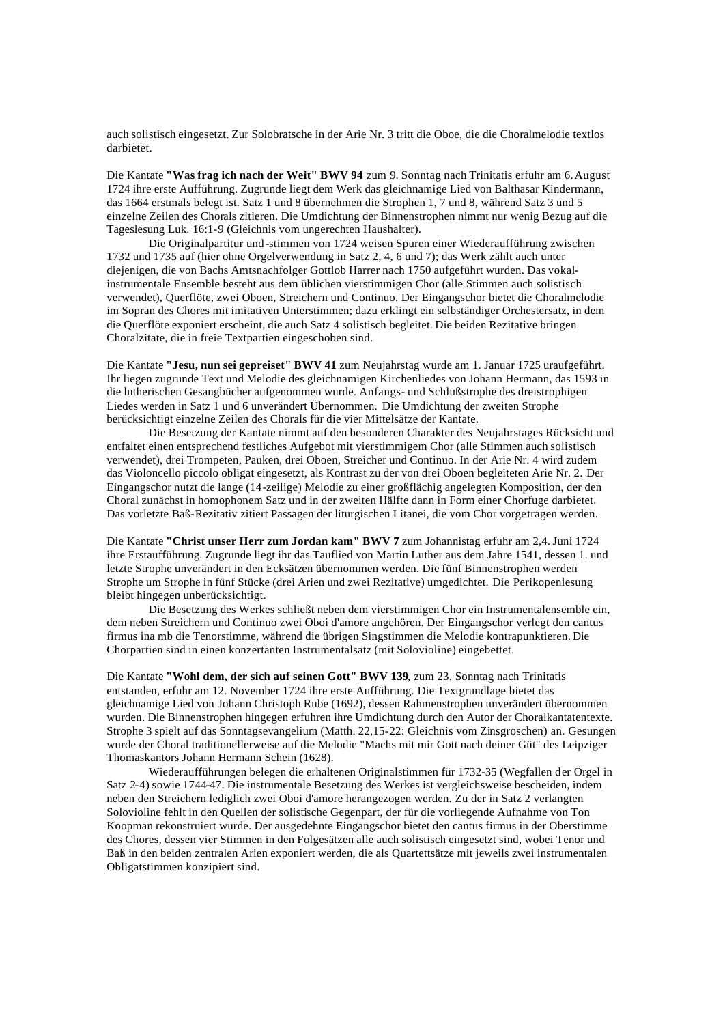auch solistisch eingesetzt. Zur Solobratsche in der Arie Nr. 3 tritt die Oboe, die die Choralmelodie textlos darbietet.

Die Kantate **"Was frag ich nach der Weit" BWV 94** zum 9. Sonntag nach Trinitatis erfuhr am 6. August 1724 ihre erste Aufführung. Zugrunde liegt dem Werk das gleichnamige Lied von Balthasar Kindermann, das 1664 erstmals belegt ist. Satz 1 und 8 übernehmen die Strophen 1, 7 und 8, während Satz 3 und 5 einzelne Zeilen des Chorals zitieren. Die Umdichtung der Binnenstrophen nimmt nur wenig Bezug auf die Tageslesung Luk. 16:1-9 (Gleichnis vom ungerechten Haushalter).

Die Originalpartitur und -stimmen von 1724 weisen Spuren einer Wiederaufführung zwischen 1732 und 1735 auf (hier ohne Orgelverwendung in Satz 2, 4, 6 und 7); das Werk zählt auch unter diejenigen, die von Bachs Amtsnachfolger Gottlob Harrer nach 1750 aufgeführt wurden. Das vokalinstrumentale Ensemble besteht aus dem üblichen vierstimmigen Chor (alle Stimmen auch solistisch verwendet), Querflöte, zwei Oboen, Streichern und Continuo. Der Eingangschor bietet die Choralmelodie im Sopran des Chores mit imitativen Unterstimmen; dazu erklingt ein selbständiger Orchestersatz, in dem die Querflöte exponiert erscheint, die auch Satz 4 solistisch begleitet. Die beiden Rezitative bringen Choralzitate, die in freie Textpartien eingeschoben sind.

Die Kantate **"Jesu, nun sei gepreiset" BWV 41** zum Neujahrstag wurde am 1. Januar 1725 uraufgeführt. Ihr liegen zugrunde Text und Melodie des gleichnamigen Kirchenliedes von Johann Hermann, das 1593 in die lutherischen Gesangbücher aufgenommen wurde. Anfangs- und Schlußstrophe des dreistrophigen Liedes werden in Satz 1 und 6 unverändert Übernommen. Die Umdichtung der zweiten Strophe berücksichtigt einzelne Zeilen des Chorals für die vier Mittelsätze der Kantate.

Die Besetzung der Kantate nimmt auf den besonderen Charakter des Neujahrstages Rücksicht und entfaltet einen entsprechend festliches Aufgebot mit vierstimmigem Chor (alle Stimmen auch solistisch verwendet), drei Trompeten, Pauken, drei Oboen, Streicher und Continuo. In der Arie Nr. 4 wird zudem das Violoncello piccolo obligat eingesetzt, als Kontrast zu der von drei Oboen begleiteten Arie Nr. 2. Der Eingangschor nutzt die lange (14-zeilige) Melodie zu einer großflächig angelegten Komposition, der den Choral zunächst in homophonem Satz und in der zweiten Hälfte dann in Form einer Chorfuge darbietet. Das vorletzte Baß-Rezitativ zitiert Passagen der liturgischen Litanei, die vom Chor vorgetragen werden.

Die Kantate **"Christ unser Herr zum Jordan kam" BWV 7** zum Johannistag erfuhr am 2,4. Juni 1724 ihre Erstaufführung. Zugrunde liegt ihr das Tauflied von Martin Luther aus dem Jahre 1541, dessen 1. und letzte Strophe unverändert in den Ecksätzen übernommen werden. Die fünf Binnenstrophen werden Strophe um Strophe in fünf Stücke (drei Arien und zwei Rezitative) umgedichtet. Die Perikopenlesung bleibt hingegen unberücksichtigt.

Die Besetzung des Werkes schließt neben dem vierstimmigen Chor ein Instrumentalensemble ein, dem neben Streichern und Continuo zwei Oboi d'amore angehören. Der Eingangschor verlegt den cantus firmus ina mb die Tenorstimme, während die übrigen Singstimmen die Melodie kontrapunktieren. Die Chorpartien sind in einen konzertanten Instrumentalsatz (mit Solovioline) eingebettet.

Die Kantate **"Wohl dem, der sich auf seinen Gott" BWV 139**, zum 23. Sonntag nach Trinitatis entstanden, erfuhr am 12. November 1724 ihre erste Aufführung. Die Textgrundlage bietet das gleichnamige Lied von Johann Christoph Rube (1692), dessen Rahmenstrophen unverändert übernommen wurden. Die Binnenstrophen hingegen erfuhren ihre Umdichtung durch den Autor der Choralkantatentexte. Strophe 3 spielt auf das Sonntagsevangelium (Matth. 22,15-22: Gleichnis vom Zinsgroschen) an. Gesungen wurde der Choral traditionellerweise auf die Melodie "Machs mit mir Gott nach deiner Güt" des Leipziger Thomaskantors Johann Hermann Schein (1628).

Wiederaufführungen belegen die erhaltenen Originalstimmen für 1732-35 (Wegfallen der Orgel in Satz 2-4) sowie 1744-47. Die instrumentale Besetzung des Werkes ist vergleichsweise bescheiden, indem neben den Streichern lediglich zwei Oboi d'amore herangezogen werden. Zu der in Satz 2 verlangten Solovioline fehlt in den Quellen der solistische Gegenpart, der für die vorliegende Aufnahme von Ton Koopman rekonstruiert wurde. Der ausgedehnte Eingangschor bietet den cantus firmus in der Oberstimme des Chores, dessen vier Stimmen in den Folgesätzen alle auch solistisch eingesetzt sind, wobei Tenor und Baß in den beiden zentralen Arien exponiert werden, die als Quartettsätze mit jeweils zwei instrumentalen Obligatstimmen konzipiert sind.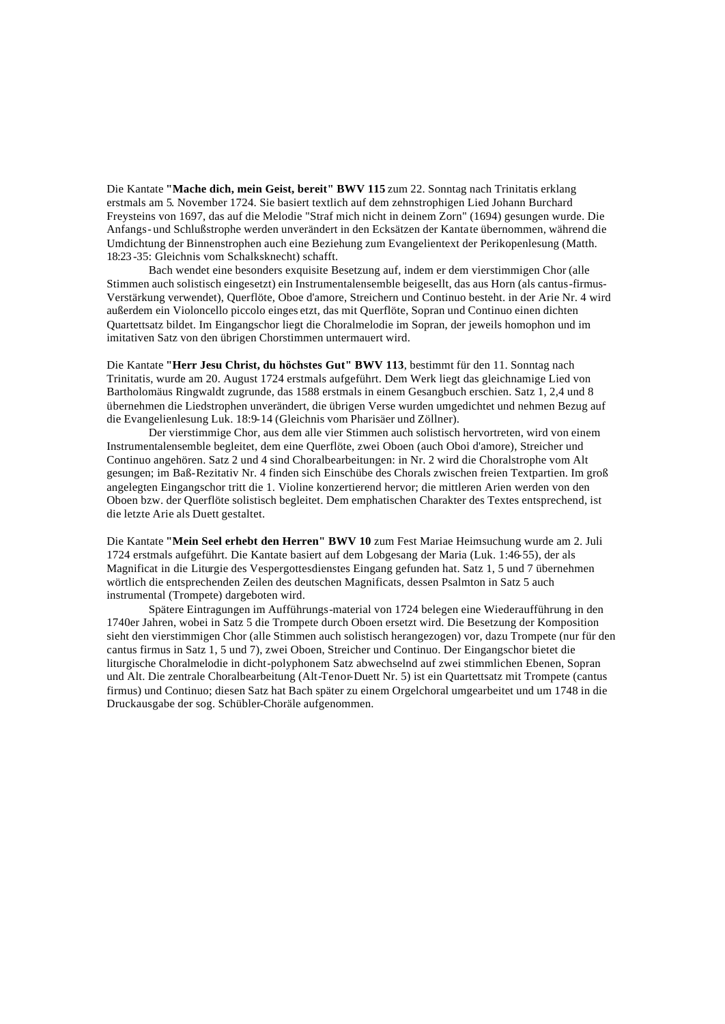Die Kantate **"Mache dich, mein Geist, bereit" BWV 115** zum 22. Sonntag nach Trinitatis erklang erstmals am 5. November 1724. Sie basiert textlich auf dem zehnstrophigen Lied Johann Burchard Freysteins von 1697, das auf die Melodie "Straf mich nicht in deinem Zorn" (1694) gesungen wurde. Die Anfangs- und Schlußstrophe werden unverändert in den Ecksätzen der Kantate übernommen, während die Umdichtung der Binnenstrophen auch eine Beziehung zum Evangelientext der Perikopenlesung (Matth. 18:23 -35: Gleichnis vom Schalksknecht) schafft.

Bach wendet eine besonders exquisite Besetzung auf, indem er dem vierstimmigen Chor (alle Stimmen auch solistisch eingesetzt) ein Instrumentalensemble beigesellt, das aus Horn (als cantus-firmus-Verstärkung verwendet), Querflöte, Oboe d'amore, Streichern und Continuo besteht. in der Arie Nr. 4 wird außerdem ein Violoncello piccolo einges etzt, das mit Querflöte, Sopran und Continuo einen dichten Quartettsatz bildet. Im Eingangschor liegt die Choralmelodie im Sopran, der jeweils homophon und im imitativen Satz von den übrigen Chorstimmen untermauert wird.

Die Kantate **"Herr Jesu Christ, du höchstes Gut" BWV 113**, bestimmt für den 11. Sonntag nach Trinitatis, wurde am 20. August 1724 erstmals aufgeführt. Dem Werk liegt das gleichnamige Lied von Bartholomäus Ringwaldt zugrunde, das 1588 erstmals in einem Gesangbuch erschien. Satz 1, 2,4 und 8 übernehmen die Liedstrophen unverändert, die übrigen Verse wurden umgedichtet und nehmen Bezug auf die Evangelienlesung Luk. 18:9-14 (Gleichnis vom Pharisäer und Zöllner).

Der vierstimmige Chor, aus dem alle vier Stimmen auch solistisch hervortreten, wird von einem Instrumentalensemble begleitet, dem eine Querflöte, zwei Oboen (auch Oboi d'amore), Streicher und Continuo angehören. Satz 2 und 4 sind Choralbearbeitungen: in Nr. 2 wird die Choralstrophe vom Alt gesungen; im Baß-Rezitativ Nr. 4 finden sich Einschübe des Chorals zwischen freien Textpartien. Im groß angelegten Eingangschor tritt die 1. Violine konzertierend hervor; die mittleren Arien werden von den Oboen bzw. der Querflöte solistisch begleitet. Dem emphatischen Charakter des Textes entsprechend, ist die letzte Arie als Duett gestaltet.

Die Kantate **"Mein Seel erhebt den Herren" BWV 10** zum Fest Mariae Heimsuchung wurde am 2. Juli 1724 erstmals aufgeführt. Die Kantate basiert auf dem Lobgesang der Maria (Luk. 1:46-55), der als Magnificat in die Liturgie des Vespergottesdienstes Eingang gefunden hat. Satz 1, 5 und 7 übernehmen wörtlich die entsprechenden Zeilen des deutschen Magnificats, dessen Psalmton in Satz 5 auch instrumental (Trompete) dargeboten wird.

Spätere Eintragungen im Aufführungs-material von 1724 belegen eine Wiederaufführung in den 1740er Jahren, wobei in Satz 5 die Trompete durch Oboen ersetzt wird. Die Besetzung der Komposition sieht den vierstimmigen Chor (alle Stimmen auch solistisch herangezogen) vor, dazu Trompete (nur für den cantus firmus in Satz 1, 5 und 7), zwei Oboen, Streicher und Continuo. Der Eingangschor bietet die liturgische Choralmelodie in dicht-polyphonem Satz abwechselnd auf zwei stimmlichen Ebenen, Sopran und Alt. Die zentrale Choralbearbeitung (Alt-Tenor-Duett Nr. 5) ist ein Quartettsatz mit Trompete (cantus firmus) und Continuo; diesen Satz hat Bach später zu einem Orgelchoral umgearbeitet und um 1748 in die Druckausgabe der sog. Schübler-Choräle aufgenommen.